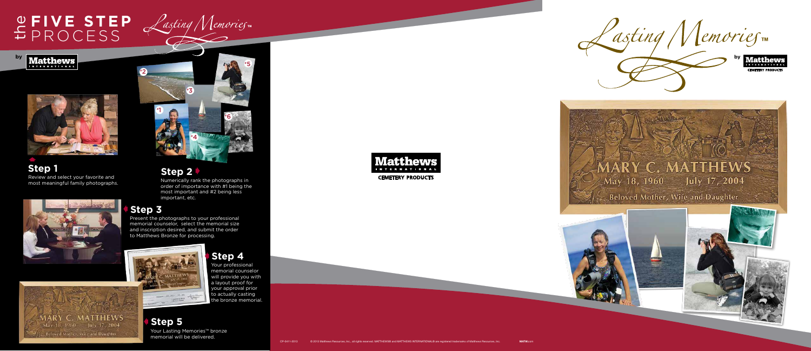



#### **THEWS** May 18, 1960 July 17, 2004

Beloved Mother, Wife and Daughter







**Step 4**

Your professional memorial counselor will provide you with a layout proof for your approval prior to actually casting the bronze memorial

Numerically rank the photographs in order of importance with #1 being the most important and #2 being less important, etc.

Present the photographs to your professional memorial counselor, select the memorial size and inscription desired, and submit the order to Matthews Bronze for processing.



## **E FIVE STEP** PROCESS

**Matthews** 

**Step 5** AYour Lasting Memories™ bronze memorial will be delivered.

### **Step 2** A

### **Step 3** A



**Step 1** Review and select your favorite and most meaningful family photographs.

**Beloved Mother, Wife and Daughter** 

A



**by**